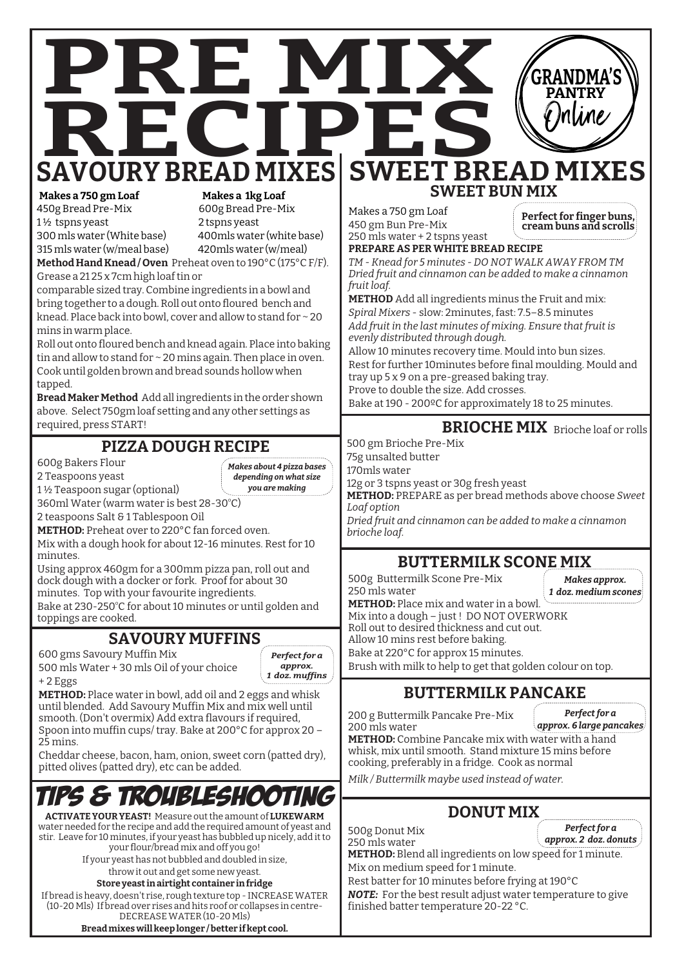



**ACTIVATE YOUR YEAST!** Measure out the amount of **LUKEWARM** water needed for the recipe and add the required amount of yeast and stir. Leave for 10 minutes, if your yeast has bubbled up nicely, add it to your flour/bread mix and off you go!

If your yeast has not bubbled and doubled in size, throw it out and get some new yeast.

## **Store yeast in airtight container in fridge**

If bread is heavy, doesn't rise, rough texture top - INCREASE WATER (10-20 Mls) If bread over rises and hits roof or collapses in centre-DECREASE WATER (10-20 Mls)

**Bread mixes will keep longer / better if kept cool.**

Mix on medium speed for 1 minute. Rest batter for 10 minutes before frying at 190°C *NOTE:* For the best result adjust water temperature to give finished batter temperature 20-22 °C.

*Perfect for a*

*Milk / Buttermilk maybe used instead of water.*

250 mls water

## **DONUT MIX**

500g Donut Mix **METHOD:** Blend all ingredients on low speed for 1 minute.

*approx. 2 doz. donuts*